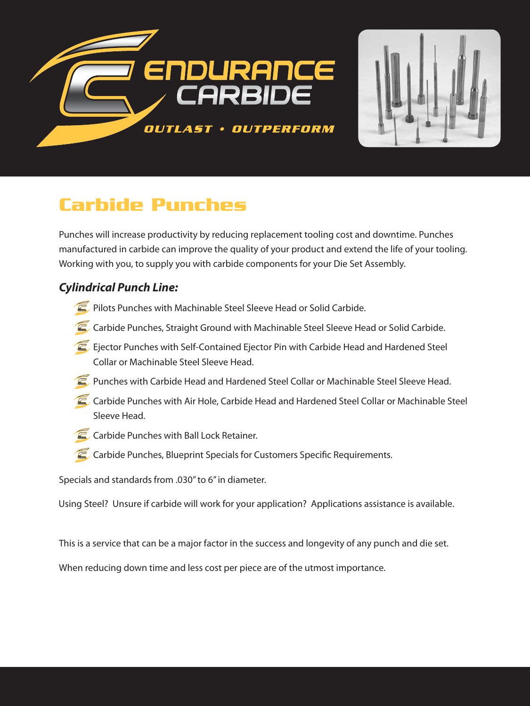



# **Carbide Punches**

Punches will increase productivity by reducing replacement tooling cost and downtime. Punches manufactured in carbide can improve the quality of your product and extend the life of your tooling. Working with you, to supply you with carbide components for your Die Set Assembly.

### *Cylindrical Punch Line:*

- **Pilots Punches with Machinable Steel Sleeve Head or Solid Carbide.**
- Carbide Punches, Straight Ground with Machinable Steel Sleeve Head or Solid Carbide.
- E Ejector Punches with Self-Contained Ejector Pin with Carbide Head and Hardened Steel Collar or Machinable Steel Sleeve Head.
- **Punches with Carbide Head and Hardened Steel Collar or Machinable Steel Sleeve Head.**
- Carbide Punches with Air Hole, Carbide Head and Hardened Steel Collar or Machinable Steel Sleeve Head.
- **C** Carbide Punches with Ball Lock Retainer.
- Carbide Punches, Blueprint Specials for Customers Specific Requirements.

Specials and standards from .030" to 6" in diameter.

Using Steel? Unsure if carbide will work for your application? Applications assistance is available.

This is a service that can be a major factor in the success and longevity of any punch and die set.

When reducing down time and less cost per piece are of the utmost importance.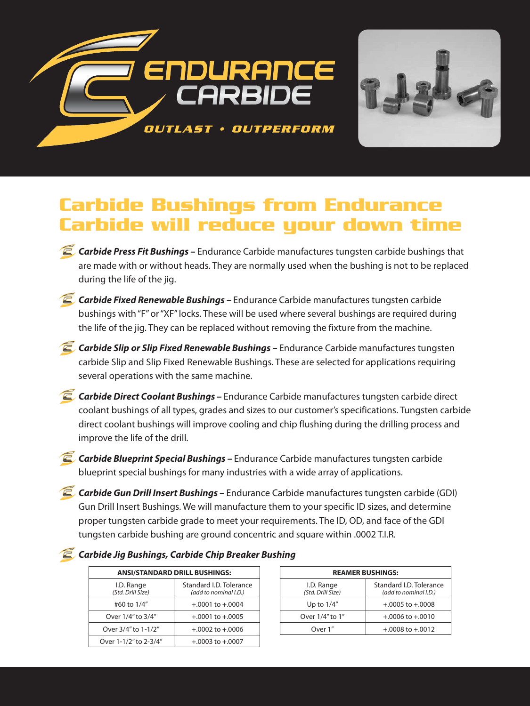

## **Carbide Bushings from Endurance Carbide will reduce your down time**

- **Carbide Press Fit Bushings -** Endurance Carbide manufactures tungsten carbide bushings that are made with or without heads. They are normally used when the bushing is not to be replaced during the life of the jig.
- *Carbide Fixed Renewable Bushings* Endurance Carbide manufactures tungsten carbide bushings with "F" or "XF" locks. These will be used where several bushings are required during the life of the jig. They can be replaced without removing the fixture from the machine.
- **C** Carbide Slip or Slip Fixed Renewable Bushings Endurance Carbide manufactures tungsten carbide Slip and Slip Fixed Renewable Bushings. These are selected for applications requiring several operations with the same machine.
- *Carbide Direct Coolant Bushings* Endurance Carbide manufactures tungsten carbide direct coolant bushings of all types, grades and sizes to our customer's specifications. Tungsten carbide direct coolant bushings will improve cooling and chip flushing during the drilling process and improve the life of the drill.
- *Carbide Blueprint Special Bushings* Endurance Carbide manufactures tungsten carbide blueprint special bushings for many industries with a wide array of applications.
- *Carbide Gun Drill Insert Bushings* Endurance Carbide manufactures tungsten carbide (GDI) Gun Drill Insert Bushings. We will manufacture them to your specific ID sizes, and determine proper tungsten carbide grade to meet your requirements. The ID, OD, and face of the GDI tungsten carbide bushing are ground concentric and square within .0002 T.I.R.

#### *Carbide Jig Bushings, Carbide Chip Breaker Bushing*

| <b>ANSI/STANDARD DRILL BUSHINGS:</b> |                                                  |  |  |  |
|--------------------------------------|--------------------------------------------------|--|--|--|
| I.D. Range<br>(Std. Drill Size)      | Standard I.D. Tolerance<br>(add to nominal I.D.) |  |  |  |
| #60 to 1/4"                          | $+.0001$ to $+.0004$                             |  |  |  |
| Over 1/4" to 3/4"                    | $+.0001$ to $+.0005$                             |  |  |  |
| Over 3/4" to 1-1/2"                  | $+.0002$ to $+.0006$                             |  |  |  |
| Over 1-1/2" to 2-3/4"                | $+.0003$ to $+.0007$                             |  |  |  |

| <b>REAMER BUSHINGS:</b>         |                                                  |  |  |  |
|---------------------------------|--------------------------------------------------|--|--|--|
| I.D. Range<br>(Std. Drill Size) | Standard I.D. Tolerance<br>(add to nominal I.D.) |  |  |  |
| Up to $1/4$ "                   | $+.0005$ to $+.0008$                             |  |  |  |
| Over 1/4" to 1"                 | $+.0006$ to $+.0010$                             |  |  |  |
| Over 1"                         | $+.0008$ to $+.0012$                             |  |  |  |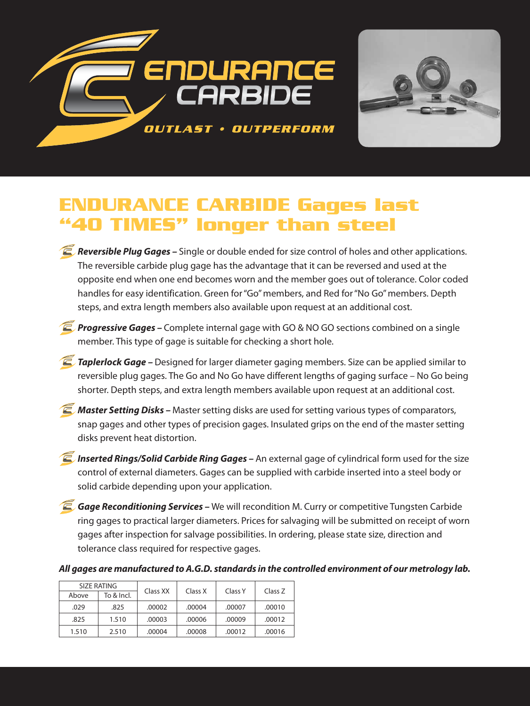



## **ENDURANCE CARBIDE Gages last "40 TIMES" longer than steel**

- *Reversible Plug Gages* Single or double ended for size control of holes and other applications. The reversible carbide plug gage has the advantage that it can be reversed and used at the opposite end when one end becomes worn and the member goes out of tolerance. Color coded handles for easy identification. Green for "Go" members, and Red for "No Go" members. Depth steps, and extra length members also available upon request at an additional cost.
- **Progressive Gages –** Complete internal gage with GO & NO GO sections combined on a single member. This type of gage is suitable for checking a short hole.
- **Taplerlock Gage –** Designed for larger diameter gaging members. Size can be applied similar to reversible plug gages. The Go and No Go have different lengths of gaging surface – No Go being shorter. Depth steps, and extra length members available upon request at an additional cost.
- **Z** Master Setting Disks Master setting disks are used for setting various types of comparators, snap gages and other types of precision gages. Insulated grips on the end of the master setting disks prevent heat distortion.
- *Inserted Rings/Solid Carbide Ring Gages An external gage of cylindrical form used for the size* control of external diameters. Gages can be supplied with carbide inserted into a steel body or solid carbide depending upon your application.
- **Gage Reconditioning Services –** We will recondition M. Curry or competitive Tungsten Carbide ring gages to practical larger diameters. Prices for salvaging will be submitted on receipt of worn gages after inspection for salvage possibilities. In ordering, please state size, direction and tolerance class required for respective gages.

*All gages are manufactured to A.G.D. standards in the controlled environment of our metrology lab.*

| SIZE RATING |            |          | Class X | Class Y | Class Z |
|-------------|------------|----------|---------|---------|---------|
| Above       | To & Incl. | Class XX |         |         |         |
| .029        | .825       | .00002   | .00004  | .00007  | .00010  |
| .825        | 1.510      | .00003   | .00006  | .00009  | .00012  |
| 1.510       | 2.510      | .00004   | .00008  | .00012  | .00016  |